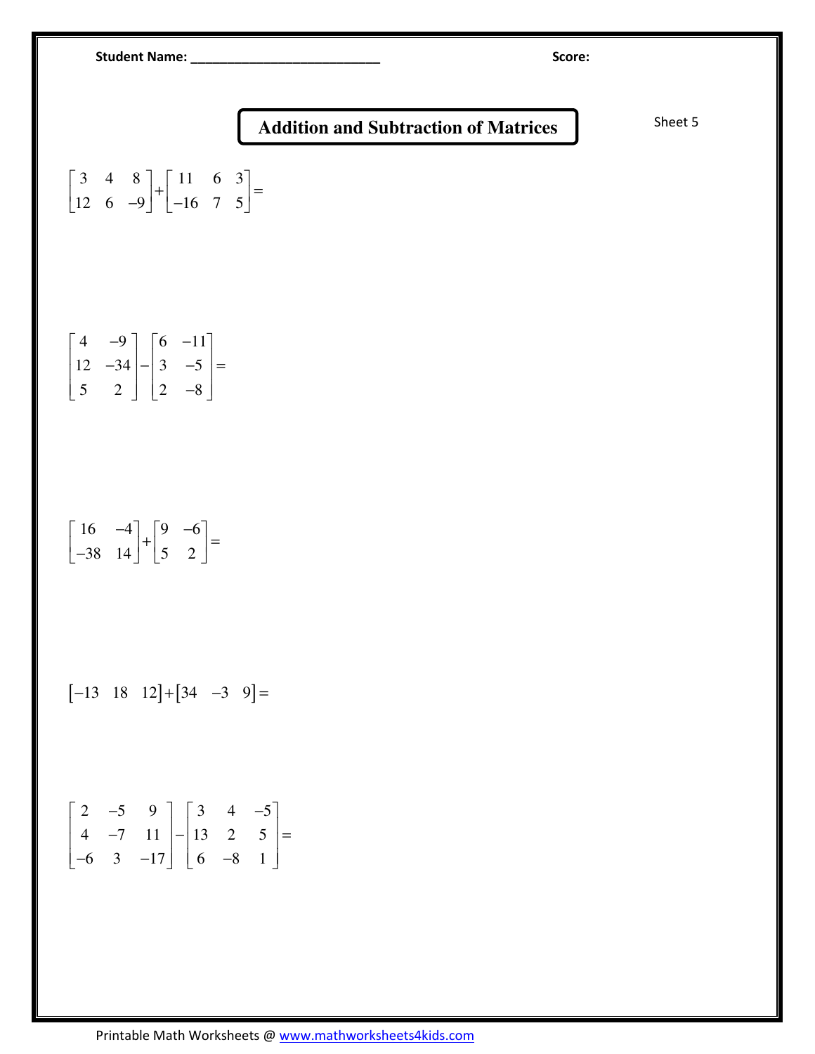